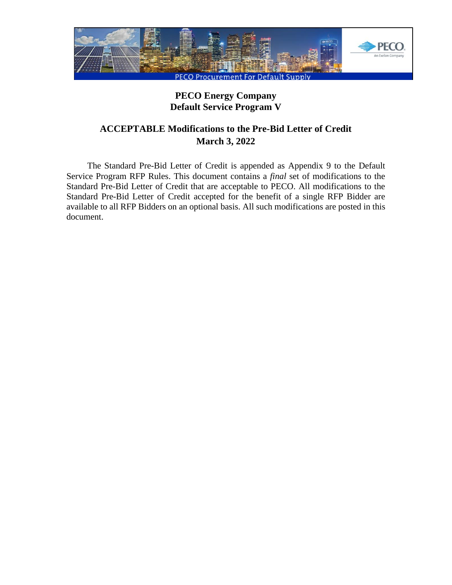

# **PECO Energy Company Default Service Program V**

# **ACCEPTABLE Modifications to the Pre-Bid Letter of Credit March 3, 2022**

The Standard Pre-Bid Letter of Credit is appended as Appendix 9 to the Default Service Program RFP Rules. This document contains a *final* set of modifications to the Standard Pre-Bid Letter of Credit that are acceptable to PECO. All modifications to the Standard Pre-Bid Letter of Credit accepted for the benefit of a single RFP Bidder are available to all RFP Bidders on an optional basis. All such modifications are posted in this document.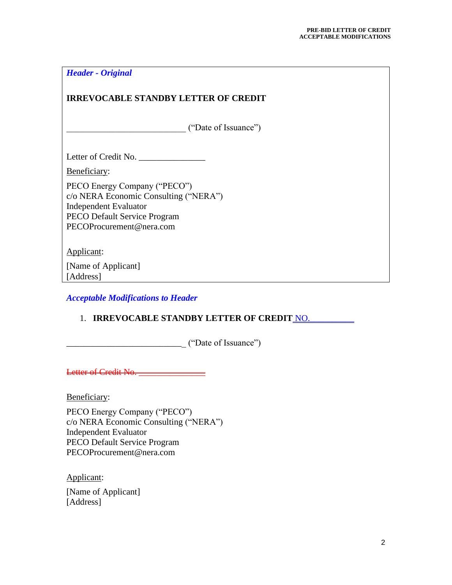| <b>Header - Original</b>                                                                                                                                          |
|-------------------------------------------------------------------------------------------------------------------------------------------------------------------|
| <b>IRREVOCABLE STANDBY LETTER OF CREDIT</b>                                                                                                                       |
| ("Date of Issuance")                                                                                                                                              |
| Letter of Credit No.                                                                                                                                              |
| Beneficiary:                                                                                                                                                      |
| PECO Energy Company ("PECO")<br>c/o NERA Economic Consulting ("NERA")<br><b>Independent Evaluator</b><br>PECO Default Service Program<br>PECOProcurement@nera.com |
| Applicant:                                                                                                                                                        |
| [Name of Applicant]<br>[Address]                                                                                                                                  |
| <b>Acceptable Modifications to Header</b>                                                                                                                         |

# 1. **IRREVOCABLE STANDBY LETTER OF CREDIT NO.**

\_\_\_\_\_\_\_\_\_\_\_\_\_\_\_\_\_\_\_\_\_\_\_\_\_\_\_ ("Date of Issuance")

Letter of Credit No.

Beneficiary:

PECO Energy Company ("PECO") c/o NERA Economic Consulting ("NERA") Independent Evaluator PECO Default Service Program PECOProcurement@nera.com

Applicant:

[Name of Applicant] [Address]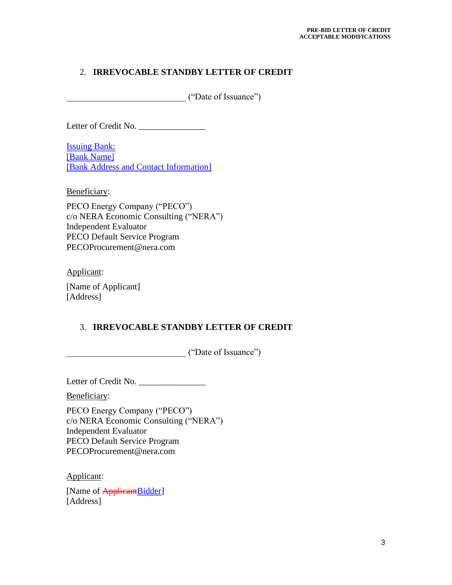# 2. **IRREVOCABLE STANDBY LETTER OF CREDIT**

\_\_\_\_\_\_\_\_\_\_\_\_\_\_\_\_\_\_\_\_\_\_\_\_\_\_\_ ("Date of Issuance")

Letter of Credit No.

Issuing Bank: [Bank Name] [Bank Address and Contact Information]

Beneficiary:

PECO Energy Company ("PECO") c/o NERA Economic Consulting ("NERA") Independent Evaluator PECO Default Service Program PECOProcurement@nera.com

Applicant:

[Name of Applicant] [Address]

# 3. **IRREVOCABLE STANDBY LETTER OF CREDIT**

\_\_\_\_\_\_\_\_\_\_\_\_\_\_\_\_\_\_\_\_\_\_\_\_\_\_\_ ("Date of Issuance")

Letter of Credit No. \_\_\_\_\_\_\_\_\_\_\_\_\_\_\_

Beneficiary:

PECO Energy Company ("PECO") c/o NERA Economic Consulting ("NERA") Independent Evaluator PECO Default Service Program PECOProcurement@nera.com

Applicant:

[Name of **Applicant**Bidder] [Address]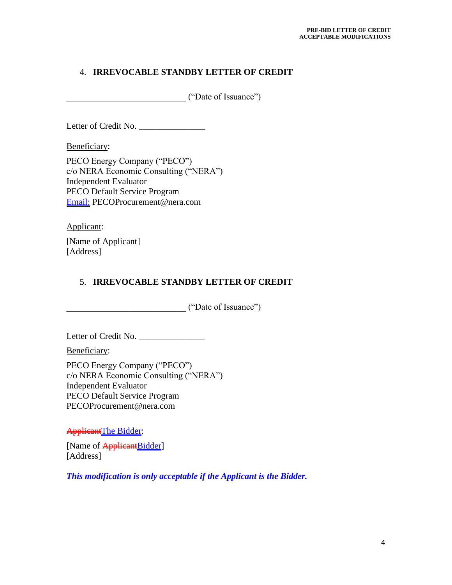# 4. **IRREVOCABLE STANDBY LETTER OF CREDIT**

\_\_\_\_\_\_\_\_\_\_\_\_\_\_\_\_\_\_\_\_\_\_\_\_\_\_\_ ("Date of Issuance")

Letter of Credit No.

Beneficiary:

PECO Energy Company ("PECO") c/o NERA Economic Consulting ("NERA") Independent Evaluator PECO Default Service Program Email: PECOProcurement@nera.com

Applicant:

[Name of Applicant] [Address]

# 5. **IRREVOCABLE STANDBY LETTER OF CREDIT**

\_\_\_\_\_\_\_\_\_\_\_\_\_\_\_\_\_\_\_\_\_\_\_\_\_\_\_ ("Date of Issuance")

Letter of Credit No. \_\_\_\_\_\_\_\_\_\_\_\_\_\_\_

Beneficiary:

PECO Energy Company ("PECO") c/o NERA Economic Consulting ("NERA") Independent Evaluator PECO Default Service Program PECOProcurement@nera.com

ApplicantThe Bidder:

[Name of **Applicant**Bidder] [Address]

*This modification is only acceptable if the Applicant is the Bidder.*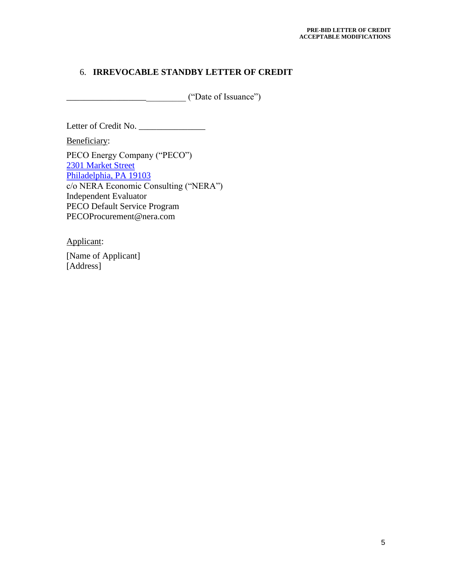# 6. **IRREVOCABLE STANDBY LETTER OF CREDIT**

\_\_\_\_\_\_\_\_\_\_\_\_\_\_\_\_\_\_\_\_\_\_\_\_\_\_\_ ("Date of Issuance")

Letter of Credit No. \_\_\_\_\_\_\_\_\_\_\_\_\_\_\_

Beneficiary:

PECO Energy Company ("PECO") 2301 Market Street Philadelphia, PA 19103 c/o NERA Economic Consulting ("NERA") Independent Evaluator PECO Default Service Program PECOProcurement@nera.com

Applicant:

[Name of Applicant] [Address]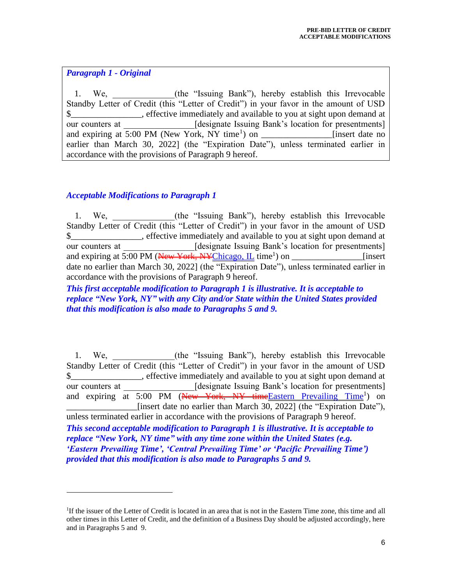#### *Paragraph 1 - Original*

1. We, (the "Issuing Bank"), hereby establish this Irrevocable Standby Letter of Credit (this "Letter of Credit") in your favor in the amount of USD \$\_\_\_\_\_\_\_\_\_\_\_\_\_\_\_\_, effective immediately and available to you at sight upon demand at our counters at [designate Issuing Bank's location for presentments] and expiring at 5:00 PM (New York, NY time<sup>1</sup>) on insert date no earlier than March 30, 2022] (the "Expiration Date"), unless terminated earlier in accordance with the provisions of Paragraph 9 hereof.

# *Acceptable Modifications to Paragraph 1*

1. We, (the "Issuing Bank"), hereby establish this Irrevocable Standby Letter of Credit (this "Letter of Credit") in your favor in the amount of USD \$\_\_\_\_\_\_\_\_\_\_\_\_\_\_\_\_, effective immediately and available to you at sight upon demand at our counters at \_\_\_\_\_\_\_\_\_\_\_\_\_\_\_\_[designate Issuing Bank's location for presentments] and expiring at 5:00 PM (New York, NYChicago, IL time<sup>1</sup>) on \_\_\_\_\_\_\_\_\_\_\_\_\_\_\_[insert date no earlier than March 30, 2022] (the "Expiration Date"), unless terminated earlier in accordance with the provisions of Paragraph 9 hereof.

*This first acceptable modification to Paragraph 1 is illustrative. It is acceptable to replace "New York, NY" with any City and/or State within the United States provided that this modification is also made to Paragraphs 5 and 9.* 

1. We, the "Issuing Bank"), hereby establish this Irrevocable Standby Letter of Credit (this "Letter of Credit") in your favor in the amount of USD \$\_\_\_\_\_\_\_\_\_\_\_\_\_\_\_\_, effective immediately and available to you at sight upon demand at our counters at [designate Issuing Bank's location for presentments] and expiring at 5:00 PM (New York, NY time Eastern Prevailing Time<sup>1</sup>) on [insert date no earlier than March 30, 2022] (the "Expiration Date"), unless terminated earlier in accordance with the provisions of Paragraph 9 hereof. *This second acceptable modification to Paragraph 1 is illustrative. It is acceptable to replace "New York, NY time" with any time zone within the United States (e.g. 'Eastern Prevailing Time', 'Central Prevailing Time' or 'Pacific Prevailing Time') provided that this modification is also made to Paragraphs 5 and 9.* 

<sup>&</sup>lt;sup>1</sup>If the issuer of the Letter of Credit is located in an area that is not in the Eastern Time zone, this time and all other times in this Letter of Credit, and the definition of a Business Day should be adjusted accordingly, here and in Paragraphs 5 and 9.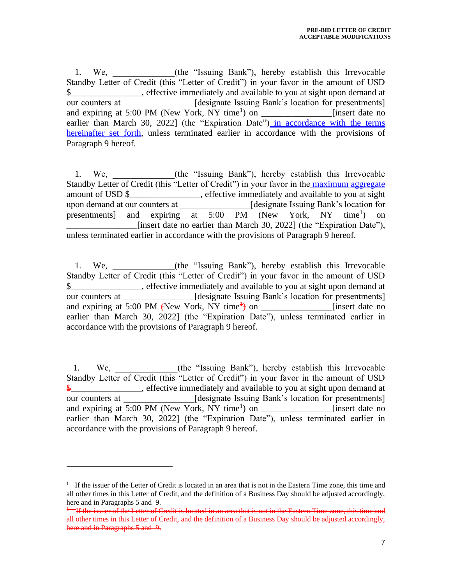1. We, (the "Issuing Bank"), hereby establish this Irrevocable Standby Letter of Credit (this "Letter of Credit") in your favor in the amount of USD \$ effective immediately and available to you at sight upon demand at our counters at  $[designate Isuing Bank's location for presentments]$ and expiring at 5:00 PM (New York, NY time<sup>1</sup>) on  $\frac{1}{\sqrt{1-\frac{1}{n}}}\$  [insert date no earlier than March 30, 2022] (the "Expiration Date") in accordance with the terms hereinafter set forth, unless terminated earlier in accordance with the provisions of Paragraph 9 hereof.

1. We, (the "Issuing Bank"), hereby establish this Irrevocable Standby Letter of Credit (this "Letter of Credit") in your favor in the maximum aggregate amount of USD \$\_\_\_\_\_\_\_\_\_\_\_\_\_\_\_\_, effective immediately and available to you at sight upon demand at our counters at  $\qquad \qquad$  [designate Issuing Bank's location for presentments] and expiring at 5:00 PM (New York, NY time<sup>1</sup>) ) on \_\_\_\_\_\_\_\_\_\_\_\_\_\_\_\_[insert date no earlier than March 30, 2022] (the "Expiration Date"), unless terminated earlier in accordance with the provisions of Paragraph 9 hereof.

1. We, \_\_\_\_\_\_\_\_\_\_\_\_\_\_(the "Issuing Bank"), hereby establish this Irrevocable Standby Letter of Credit (this "Letter of Credit") in your favor in the amount of USD \$\_\_\_\_\_\_\_\_\_\_\_\_\_\_\_\_, effective immediately and available to you at sight upon demand at our counters at \_\_\_\_\_\_\_\_\_\_\_\_\_\_\_\_[designate Issuing Bank's location for presentments] and expiring at 5:00 PM (New York, NY time<sup> $\frac{1}{2}$ </sup>) on \_\_\_\_\_\_\_\_\_\_\_\_\_\_\_\_[insert date no earlier than March 30, 2022] (the "Expiration Date"), unless terminated earlier in accordance with the provisions of Paragraph 9 hereof.

1. We, (the "Issuing Bank"), hereby establish this Irrevocable Standby Letter of Credit (this "Letter of Credit") in your favor in the amount of USD  $\frac{2}{3}$ , effective immediately and available to you at sight upon demand at our counters at [designate Issuing Bank's location for presentments] and expiring at 5:00 PM (New York, NY time<sup>1</sup>) on  $\frac{1}{\sqrt{1-\frac{1}{n}}}\$  [insert date no earlier than March 30, 2022] (the "Expiration Date"), unless terminated earlier in accordance with the provisions of Paragraph 9 hereof.

 $1$  If the issuer of the Letter of Credit is located in an area that is not in the Eastern Time zone, this time and all other times in this Letter of Credit, and the definition of a Business Day should be adjusted accordingly, here and in Paragraphs 5 and 9.

 $^{+-}$  If the issuer of the Letter of Credit is located in an area that is not in the Eastern Time zone, this time and all other times in this Letter of Credit, and the definition of a Business Day should be adjusted accordingly, here and in Paragraphs 5 and 9.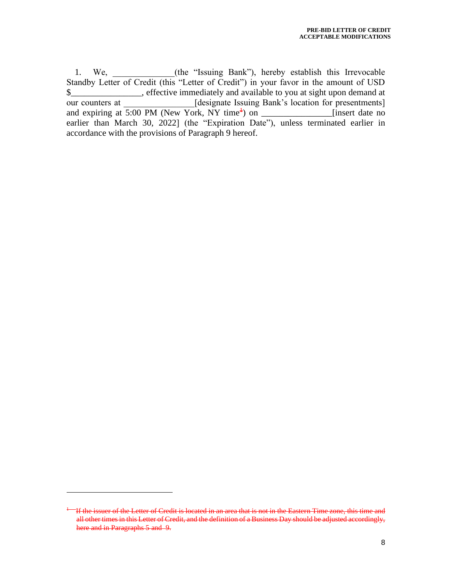1. We, \_\_\_\_\_\_\_\_\_\_(the "Issuing Bank"), hereby establish this Irrevocable Standby Letter of Credit (this "Letter of Credit") in your favor in the amount of USD \$\_\_\_\_\_\_\_\_\_\_\_\_\_\_\_\_, effective immediately and available to you at sight upon demand at our counters at [designate Issuing Bank's location for presentments] and expiring at  $\overline{5:00 \text{ PM (New York, NY time}^4)}$  on [insert date no earlier than March 30, 2022] (the "Expiration Date"), unless terminated earlier in accordance with the provisions of Paragraph 9 hereof.

<sup>1</sup>If the issuer of the Letter of Credit is located in an area that is not in the Eastern Time zone, this time and all other times in this Letter of Credit, and the definition of a Business Day should be adjusted accordingly, here and in Paragraphs 5 and 9.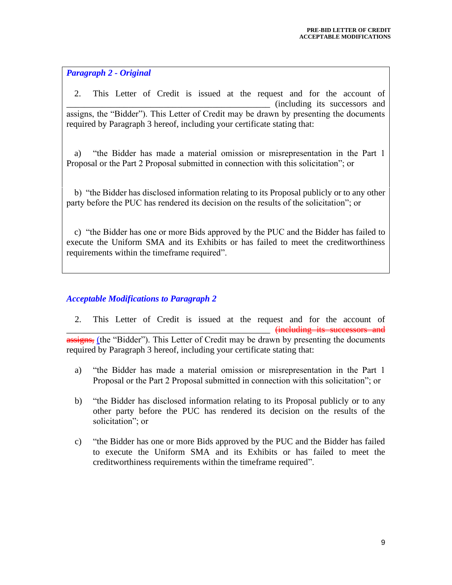#### *Paragraph 2 - Original*

2. This Letter of Credit is issued at the request and for the account of \_\_\_\_\_\_\_\_\_\_\_\_\_\_\_\_\_\_\_\_\_\_\_\_\_\_\_\_\_\_\_\_\_\_\_\_\_\_\_\_\_\_\_\_\_\_ (including its successors and assigns, the "Bidder"). This Letter of Credit may be drawn by presenting the documents required by Paragraph 3 hereof, including your certificate stating that:

a) "the Bidder has made a material omission or misrepresentation in the Part 1 Proposal or the Part 2 Proposal submitted in connection with this solicitation"; or

b) "the Bidder has disclosed information relating to its Proposal publicly or to any other party before the PUC has rendered its decision on the results of the solicitation"; or

c) "the Bidder has one or more Bids approved by the PUC and the Bidder has failed to execute the Uniform SMA and its Exhibits or has failed to meet the creditworthiness requirements within the timeframe required".

# *Acceptable Modifications to Paragraph 2*

2. This Letter of Credit is issued at the request and for the account of  $\frac{4}{10}$  including its assigns, (the "Bidder"). This Letter of Credit may be drawn by presenting the documents required by Paragraph 3 hereof, including your certificate stating that:

- a) "the Bidder has made a material omission or misrepresentation in the Part 1 Proposal or the Part 2 Proposal submitted in connection with this solicitation"; or
- b) "the Bidder has disclosed information relating to its Proposal publicly or to any other party before the PUC has rendered its decision on the results of the solicitation"; or
- c) "the Bidder has one or more Bids approved by the PUC and the Bidder has failed to execute the Uniform SMA and its Exhibits or has failed to meet the creditworthiness requirements within the timeframe required".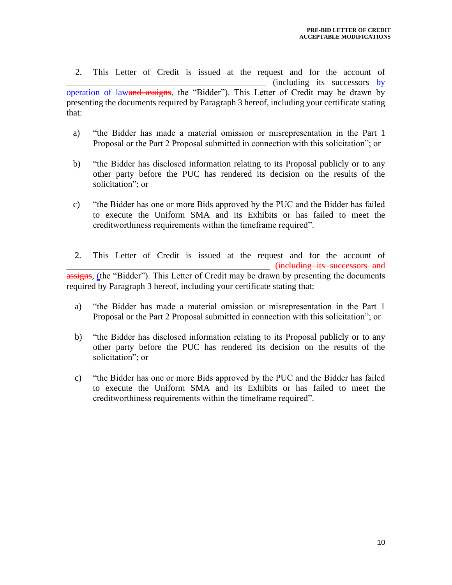2. This Letter of Credit is issued at the request and for the account of  $(including$  its successors by operation of lawand assigns, the "Bidder"). This Letter of Credit may be drawn by presenting the documents required by Paragraph 3 hereof, including your certificate stating that:

- a) "the Bidder has made a material omission or misrepresentation in the Part 1 Proposal or the Part 2 Proposal submitted in connection with this solicitation"; or
- b) "the Bidder has disclosed information relating to its Proposal publicly or to any other party before the PUC has rendered its decision on the results of the solicitation"; or
- c) "the Bidder has one or more Bids approved by the PUC and the Bidder has failed to execute the Uniform SMA and its Exhibits or has failed to meet the creditworthiness requirements within the timeframe required".
- 2. This Letter of Credit is issued at the request and for the account of \_\_\_\_\_\_\_\_\_\_\_\_\_\_\_\_\_\_\_\_\_\_\_\_\_\_\_\_\_\_\_\_\_\_\_\_\_\_\_\_\_\_\_\_\_\_ (including its successors and assigns, (the "Bidder"). This Letter of Credit may be drawn by presenting the documents required by Paragraph 3 hereof, including your certificate stating that:
	- a) "the Bidder has made a material omission or misrepresentation in the Part 1 Proposal or the Part 2 Proposal submitted in connection with this solicitation"; or
	- b) "the Bidder has disclosed information relating to its Proposal publicly or to any other party before the PUC has rendered its decision on the results of the solicitation"; or
	- c) "the Bidder has one or more Bids approved by the PUC and the Bidder has failed to execute the Uniform SMA and its Exhibits or has failed to meet the creditworthiness requirements within the timeframe required".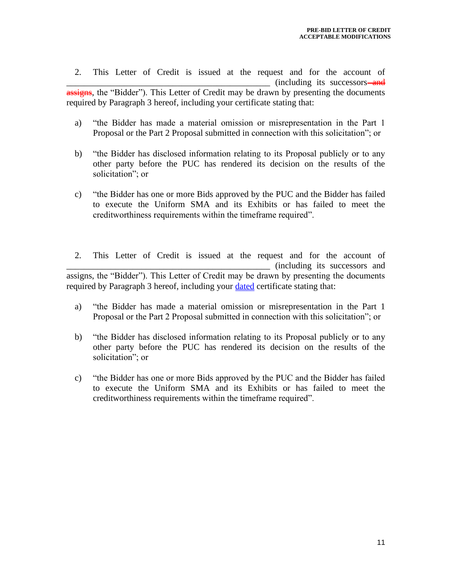2. This Letter of Credit is issued at the request and for the account of (including its successors assigns, the "Bidder"). This Letter of Credit may be drawn by presenting the documents required by Paragraph 3 hereof, including your certificate stating that:

- a) "the Bidder has made a material omission or misrepresentation in the Part 1 Proposal or the Part 2 Proposal submitted in connection with this solicitation"; or
- b) "the Bidder has disclosed information relating to its Proposal publicly or to any other party before the PUC has rendered its decision on the results of the solicitation"; or
- c) "the Bidder has one or more Bids approved by the PUC and the Bidder has failed to execute the Uniform SMA and its Exhibits or has failed to meet the creditworthiness requirements within the timeframe required".
- 2. This Letter of Credit is issued at the request and for the account of \_\_\_\_\_\_\_\_\_\_\_\_\_\_\_\_\_\_\_\_\_\_\_\_\_\_\_\_\_\_\_\_\_\_\_\_\_\_\_\_\_\_\_\_\_\_ (including its successors and assigns, the "Bidder"). This Letter of Credit may be drawn by presenting the documents required by Paragraph 3 hereof, including your **dated** certificate stating that:
	- a) "the Bidder has made a material omission or misrepresentation in the Part 1 Proposal or the Part 2 Proposal submitted in connection with this solicitation"; or
	- b) "the Bidder has disclosed information relating to its Proposal publicly or to any other party before the PUC has rendered its decision on the results of the solicitation"; or
	- c) "the Bidder has one or more Bids approved by the PUC and the Bidder has failed to execute the Uniform SMA and its Exhibits or has failed to meet the creditworthiness requirements within the timeframe required".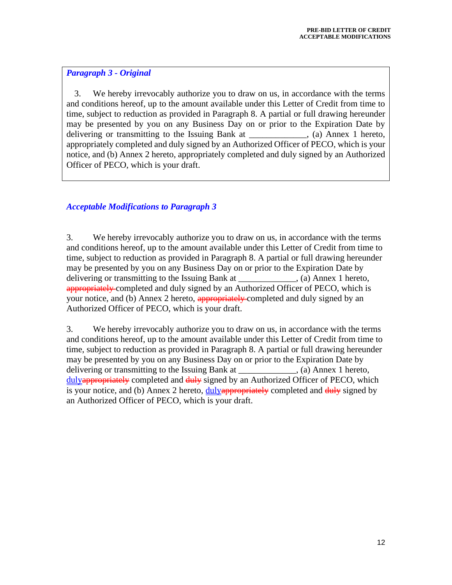# *Paragraph 3 - Original*

3. We hereby irrevocably authorize you to draw on us, in accordance with the terms and conditions hereof, up to the amount available under this Letter of Credit from time to time, subject to reduction as provided in Paragraph 8. A partial or full drawing hereunder may be presented by you on any Business Day on or prior to the Expiration Date by delivering or transmitting to the Issuing Bank at \_\_\_\_\_\_\_\_\_\_, (a) Annex 1 hereto, appropriately completed and duly signed by an Authorized Officer of PECO, which is your notice, and (b) Annex 2 hereto, appropriately completed and duly signed by an Authorized Officer of PECO, which is your draft.

# *Acceptable Modifications to Paragraph 3*

3. We hereby irrevocably authorize you to draw on us, in accordance with the terms and conditions hereof, up to the amount available under this Letter of Credit from time to time, subject to reduction as provided in Paragraph 8. A partial or full drawing hereunder may be presented by you on any Business Day on or prior to the Expiration Date by delivering or transmitting to the Issuing Bank at (a) Annex 1 hereto, appropriately-completed and duly signed by an Authorized Officer of PECO, which is your notice, and (b) Annex 2 hereto, **appropriately** completed and duly signed by an Authorized Officer of PECO, which is your draft.

3. We hereby irrevocably authorize you to draw on us, in accordance with the terms and conditions hereof, up to the amount available under this Letter of Credit from time to time, subject to reduction as provided in Paragraph 8. A partial or full drawing hereunder may be presented by you on any Business Day on or prior to the Expiration Date by delivering or transmitting to the Issuing Bank at (a) Annex 1 hereto, dulyappropriately completed and  $\frac{du}{v}$  signed by an Authorized Officer of PECO, which is your notice, and (b) Annex 2 hereto,  $\frac{duly_{\text{app}}}{dx}$  completed and  $\frac{duly_{\text{p}}}{dx}$  signed by an Authorized Officer of PECO, which is your draft.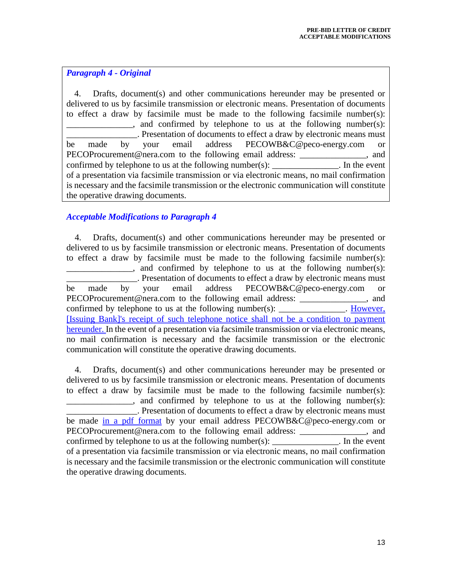#### *Paragraph 4 - Original*

4. Drafts, document(s) and other communications hereunder may be presented or delivered to us by facsimile transmission or electronic means. Presentation of documents to effect a draw by facsimile must be made to the following facsimile number(s):  $\mu$ , and confirmed by telephone to us at the following number(s): \_\_\_\_\_\_\_\_\_\_\_\_\_\_\_\_. Presentation of documents to effect a draw by electronic means must be made by your email address PECOWB&C@peco-energy.com or PECOProcurement@nera.com to the following email address: \_\_\_\_\_\_\_\_\_\_\_\_\_\_\_, and confirmed by telephone to us at the following number(s): \_\_\_\_\_\_\_\_\_\_\_\_\_\_. In the event of a presentation via facsimile transmission or via electronic means, no mail confirmation is necessary and the facsimile transmission or the electronic communication will constitute the operative drawing documents.

# *Acceptable Modifications to Paragraph 4*

4. Drafts, document(s) and other communications hereunder may be presented or delivered to us by facsimile transmission or electronic means. Presentation of documents to effect a draw by facsimile must be made to the following facsimile number(s):  $\frac{1}{\sqrt{1-\frac{1}{\sqrt{1-\frac{1}{\sqrt{1-\frac{1}{\sqrt{1-\frac{1}{\sqrt{1-\frac{1}{\sqrt{1-\frac{1}{\sqrt{1-\frac{1}{\sqrt{1-\frac{1}{\sqrt{1-\frac{1}{\sqrt{1-\frac{1}{\sqrt{1-\frac{1}{\sqrt{1-\frac{1}{\sqrt{1-\frac{1}{\sqrt{1-\frac{1}{\sqrt{1-\frac{1}{\sqrt{1-\frac{1}{\sqrt{1-\frac{1}{\sqrt{1-\frac{1}{\sqrt{1-\frac{1}{\sqrt{1-\frac{1}{\sqrt{1-\frac{1}{\sqrt{1-\frac{1}{\sqrt{1-\frac{1}{\sqrt{1-\frac{1}{$ \_\_\_\_\_\_\_\_\_\_\_\_\_\_\_\_. Presentation of documents to effect a draw by electronic means must be made by your email address PECOWB&C@peco-energy.com or PECOProcurement@nera.com to the following email address: \_\_\_\_\_\_\_\_\_\_\_\_\_\_\_, and confirmed by telephone to us at the following number(s):  $\qquad \qquad$  However, [Issuing Bank]'s receipt of such telephone notice shall not be a condition to payment hereunder. In the event of a presentation via facsimile transmission or via electronic means, no mail confirmation is necessary and the facsimile transmission or the electronic communication will constitute the operative drawing documents.

4. Drafts, document(s) and other communications hereunder may be presented or delivered to us by facsimile transmission or electronic means. Presentation of documents to effect a draw by facsimile must be made to the following facsimile number(s): and confirmed by telephone to us at the following number(s): \_\_\_\_\_\_\_\_\_\_\_\_\_\_\_\_. Presentation of documents to effect a draw by electronic means must be made in a pdf format by your email address PECOWB&C@peco-energy.com or PECOProcurement@nera.com to the following email address: \_\_\_\_\_\_\_\_\_\_\_\_\_\_\_, and confirmed by telephone to us at the following number(s): \_\_\_\_\_\_\_\_\_\_\_\_\_\_\_. In the event of a presentation via facsimile transmission or via electronic means, no mail confirmation is necessary and the facsimile transmission or the electronic communication will constitute the operative drawing documents.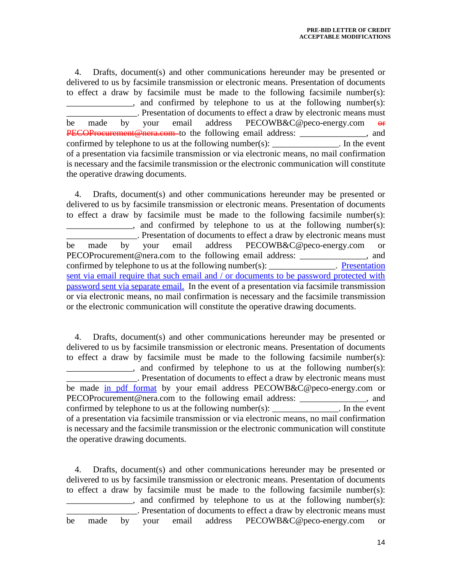4. Drafts, document(s) and other communications hereunder may be presented or delivered to us by facsimile transmission or electronic means. Presentation of documents to effect a draw by facsimile must be made to the following facsimile number(s):  $\Box$ , and confirmed by telephone to us at the following number(s): \_\_\_\_\_\_\_\_\_\_\_\_\_\_\_\_. Presentation of documents to effect a draw by electronic means must be made by your email address PECOWB&C@peco-energy.com <del>or</del> **PECOProcurement@nera.com**-to the following email address: \_\_\_\_\_\_\_\_\_\_\_\_\_, and confirmed by telephone to us at the following number(s):  $\qquad \qquad$  In the event of a presentation via facsimile transmission or via electronic means, no mail confirmation is necessary and the facsimile transmission or the electronic communication will constitute the operative drawing documents.

4. Drafts, document(s) and other communications hereunder may be presented or delivered to us by facsimile transmission or electronic means. Presentation of documents to effect a draw by facsimile must be made to the following facsimile number(s):  $\ldots$ , and confirmed by telephone to us at the following number(s): \_\_\_\_\_\_\_\_\_\_\_\_\_\_\_\_. Presentation of documents to effect a draw by electronic means must be made by your email address PECOWB&C@peco-energy.com or PECOProcurement@nera.com to the following email address: \_\_\_\_\_\_\_\_\_\_\_\_\_, and confirmed by telephone to us at the following number(s): The example  $\Gamma$ . Presentation sent via email require that such email and / or documents to be password protected with password sent via separate email. In the event of a presentation via facsimile transmission or via electronic means, no mail confirmation is necessary and the facsimile transmission or the electronic communication will constitute the operative drawing documents.

4. Drafts, document(s) and other communications hereunder may be presented or delivered to us by facsimile transmission or electronic means. Presentation of documents to effect a draw by facsimile must be made to the following facsimile number(s): , and confirmed by telephone to us at the following number(s): \_\_\_\_\_\_\_\_\_\_\_\_\_\_\_\_. Presentation of documents to effect a draw by electronic means must be made in pdf format by your email address PECOWB&C@peco-energy.com or PECOProcurement@nera.com to the following email address: \_\_\_\_\_\_\_\_\_\_\_\_\_\_, and confirmed by telephone to us at the following number(s): \_\_\_\_\_\_\_\_\_\_\_\_\_\_\_. In the event of a presentation via facsimile transmission or via electronic means, no mail confirmation is necessary and the facsimile transmission or the electronic communication will constitute the operative drawing documents.

4. Drafts, document(s) and other communications hereunder may be presented or delivered to us by facsimile transmission or electronic means. Presentation of documents to effect a draw by facsimile must be made to the following facsimile number(s):  $\mu$ , and confirmed by telephone to us at the following number(s): \_\_\_\_\_\_\_\_\_\_\_\_\_\_\_\_. Presentation of documents to effect a draw by electronic means must be made by your email address PECOWB&C@peco-energy.com or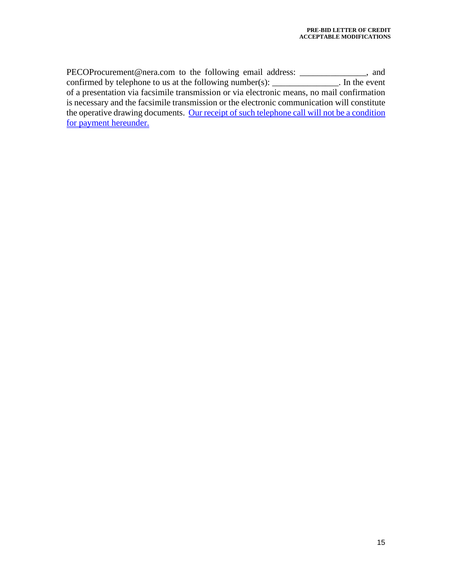PECOProcurement@nera.com to the following email address: \_\_\_\_\_\_\_\_\_\_\_\_\_\_, and confirmed by telephone to us at the following number(s):  $\frac{1}{\frac{1}{1-\frac{1}{1-\frac{1}{1-\frac{1}{1-\frac{1}{1-\frac{1}{1-\frac{1}{1-\frac{1}{1-\frac{1}{1-\frac{1}{1-\frac{1}{1-\frac{1}{1-\frac{1}{1-\frac{1}{1-\frac{1}{1-\frac{1}{1-\frac{1}{1-\frac{1}{1-\frac{1}{1-\frac{1}{1-\frac{1}{1-\frac{1}{1-\frac{1}{1-\frac{1}{1-\frac{1}{1-\frac{1}{1-\frac$ of a presentation via facsimile transmission or via electronic means, no mail confirmation is necessary and the facsimile transmission or the electronic communication will constitute the operative drawing documents. Our receipt of such telephone call will not be a condition for payment hereunder.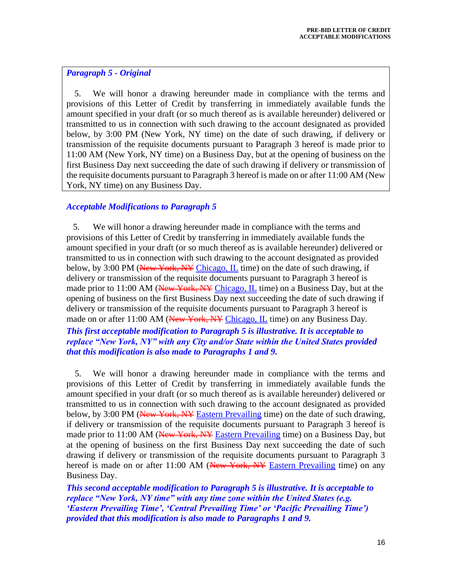#### *Paragraph 5 - Original*

5. We will honor a drawing hereunder made in compliance with the terms and provisions of this Letter of Credit by transferring in immediately available funds the amount specified in your draft (or so much thereof as is available hereunder) delivered or transmitted to us in connection with such drawing to the account designated as provided below, by 3:00 PM (New York, NY time) on the date of such drawing, if delivery or transmission of the requisite documents pursuant to Paragraph 3 hereof is made prior to 11:00 AM (New York, NY time) on a Business Day, but at the opening of business on the first Business Day next succeeding the date of such drawing if delivery or transmission of the requisite documents pursuant to Paragraph 3 hereof is made on or after 11:00 AM (New York, NY time) on any Business Day.

#### *Acceptable Modifications to Paragraph 5*

 5. We will honor a drawing hereunder made in compliance with the terms and provisions of this Letter of Credit by transferring in immediately available funds the amount specified in your draft (or so much thereof as is available hereunder) delivered or transmitted to us in connection with such drawing to the account designated as provided below, by 3:00 PM (New York, NY Chicago, IL time) on the date of such drawing, if delivery or transmission of the requisite documents pursuant to Paragraph 3 hereof is made prior to 11:00 AM (New York, NY Chicago,  $IL$  time) on a Business Day, but at the opening of business on the first Business Day next succeeding the date of such drawing if delivery or transmission of the requisite documents pursuant to Paragraph 3 hereof is made on or after 11:00 AM (New York, NY Chicago, IL time) on any Business Day. *This first acceptable modification to Paragraph 5 is illustrative. It is acceptable to replace "New York, NY" with any City and/or State within the United States provided that this modification is also made to Paragraphs 1 and 9.* 

5. We will honor a drawing hereunder made in compliance with the terms and provisions of this Letter of Credit by transferring in immediately available funds the amount specified in your draft (or so much thereof as is available hereunder) delivered or transmitted to us in connection with such drawing to the account designated as provided below, by 3:00 PM (New York, NY Eastern Prevailing time) on the date of such drawing, if delivery or transmission of the requisite documents pursuant to Paragraph 3 hereof is made prior to 11:00 AM (New York, NY Eastern Prevailing time) on a Business Day, but at the opening of business on the first Business Day next succeeding the date of such drawing if delivery or transmission of the requisite documents pursuant to Paragraph 3 hereof is made on or after 11:00 AM (New York, NY Eastern Prevailing time) on any Business Day.

*This second acceptable modification to Paragraph 5 is illustrative. It is acceptable to replace "New York, NY time" with any time zone within the United States (e.g. 'Eastern Prevailing Time', 'Central Prevailing Time' or 'Pacific Prevailing Time') provided that this modification is also made to Paragraphs 1 and 9.*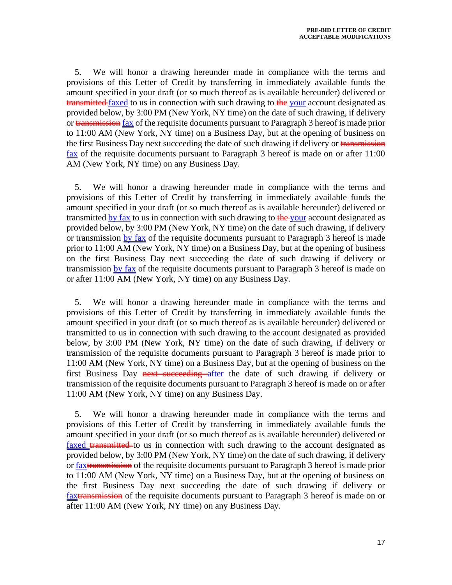5. We will honor a drawing hereunder made in compliance with the terms and provisions of this Letter of Credit by transferring in immediately available funds the amount specified in your draft (or so much thereof as is available hereunder) delivered or transmitted faxed to us in connection with such drawing to the your account designated as provided below, by 3:00 PM (New York, NY time) on the date of such drawing, if delivery or **transmission** fax of the requisite documents pursuant to Paragraph 3 hereof is made prior to 11:00 AM (New York, NY time) on a Business Day, but at the opening of business on the first Business Day next succeeding the date of such drawing if delivery or transmission  $\frac{\text{fax}}{\text{c}}$  of the requisite documents pursuant to Paragraph 3 hereof is made on or after 11:00 AM (New York, NY time) on any Business Day.

5. We will honor a drawing hereunder made in compliance with the terms and provisions of this Letter of Credit by transferring in immediately available funds the amount specified in your draft (or so much thereof as is available hereunder) delivered or transmitted by fax to us in connection with such drawing to  $\frac{d}{dx}$  your account designated as provided below, by 3:00 PM (New York, NY time) on the date of such drawing, if delivery or transmission by fax of the requisite documents pursuant to Paragraph 3 hereof is made prior to 11:00 AM (New York, NY time) on a Business Day, but at the opening of business on the first Business Day next succeeding the date of such drawing if delivery or transmission by fax of the requisite documents pursuant to Paragraph 3 hereof is made on or after 11:00 AM (New York, NY time) on any Business Day.

5. We will honor a drawing hereunder made in compliance with the terms and provisions of this Letter of Credit by transferring in immediately available funds the amount specified in your draft (or so much thereof as is available hereunder) delivered or transmitted to us in connection with such drawing to the account designated as provided below, by 3:00 PM (New York, NY time) on the date of such drawing, if delivery or transmission of the requisite documents pursuant to Paragraph 3 hereof is made prior to 11:00 AM (New York, NY time) on a Business Day, but at the opening of business on the first Business Day next succeeding after the date of such drawing if delivery or transmission of the requisite documents pursuant to Paragraph 3 hereof is made on or after 11:00 AM (New York, NY time) on any Business Day.

5. We will honor a drawing hereunder made in compliance with the terms and provisions of this Letter of Credit by transferring in immediately available funds the amount specified in your draft (or so much thereof as is available hereunder) delivered or faxed transmitted to us in connection with such drawing to the account designated as provided below, by 3:00 PM (New York, NY time) on the date of such drawing, if delivery or faxtransmission of the requisite documents pursuant to Paragraph 3 hereof is made prior to 11:00 AM (New York, NY time) on a Business Day, but at the opening of business on the first Business Day next succeeding the date of such drawing if delivery or faxtransmission of the requisite documents pursuant to Paragraph 3 hereof is made on or after 11:00 AM (New York, NY time) on any Business Day.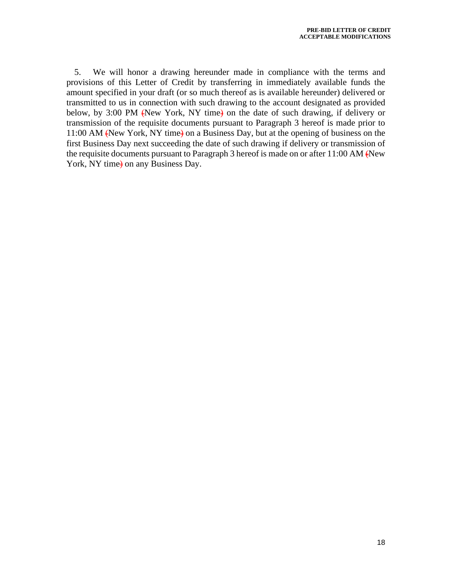5. We will honor a drawing hereunder made in compliance with the terms and provisions of this Letter of Credit by transferring in immediately available funds the amount specified in your draft (or so much thereof as is available hereunder) delivered or transmitted to us in connection with such drawing to the account designated as provided below, by 3:00 PM (New York, NY time) on the date of such drawing, if delivery or transmission of the requisite documents pursuant to Paragraph 3 hereof is made prior to 11:00 AM (New York, NY time) on a Business Day, but at the opening of business on the first Business Day next succeeding the date of such drawing if delivery or transmission of the requisite documents pursuant to Paragraph 3 hereof is made on or after 11:00 AM  $\epsilon$ New York, NY time $\rightarrow$  on any Business Day.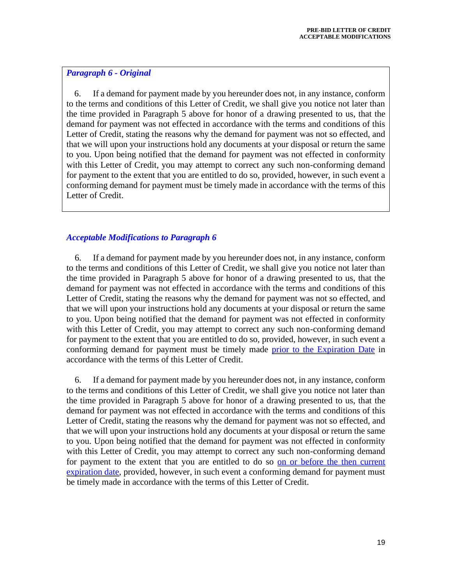#### *Paragraph 6 - Original*

6. If a demand for payment made by you hereunder does not, in any instance, conform to the terms and conditions of this Letter of Credit, we shall give you notice not later than the time provided in Paragraph 5 above for honor of a drawing presented to us, that the demand for payment was not effected in accordance with the terms and conditions of this Letter of Credit, stating the reasons why the demand for payment was not so effected, and that we will upon your instructions hold any documents at your disposal or return the same to you. Upon being notified that the demand for payment was not effected in conformity with this Letter of Credit, you may attempt to correct any such non-conforming demand for payment to the extent that you are entitled to do so, provided, however, in such event a conforming demand for payment must be timely made in accordance with the terms of this Letter of Credit.

#### *Acceptable Modifications to Paragraph 6*

6. If a demand for payment made by you hereunder does not, in any instance, conform to the terms and conditions of this Letter of Credit, we shall give you notice not later than the time provided in Paragraph 5 above for honor of a drawing presented to us, that the demand for payment was not effected in accordance with the terms and conditions of this Letter of Credit, stating the reasons why the demand for payment was not so effected, and that we will upon your instructions hold any documents at your disposal or return the same to you. Upon being notified that the demand for payment was not effected in conformity with this Letter of Credit, you may attempt to correct any such non-conforming demand for payment to the extent that you are entitled to do so, provided, however, in such event a conforming demand for payment must be timely made prior to the Expiration Date in accordance with the terms of this Letter of Credit.

6. If a demand for payment made by you hereunder does not, in any instance, conform to the terms and conditions of this Letter of Credit, we shall give you notice not later than the time provided in Paragraph 5 above for honor of a drawing presented to us, that the demand for payment was not effected in accordance with the terms and conditions of this Letter of Credit, stating the reasons why the demand for payment was not so effected, and that we will upon your instructions hold any documents at your disposal or return the same to you. Upon being notified that the demand for payment was not effected in conformity with this Letter of Credit, you may attempt to correct any such non-conforming demand for payment to the extent that you are entitled to do so on or before the then current expiration date, provided, however, in such event a conforming demand for payment must be timely made in accordance with the terms of this Letter of Credit.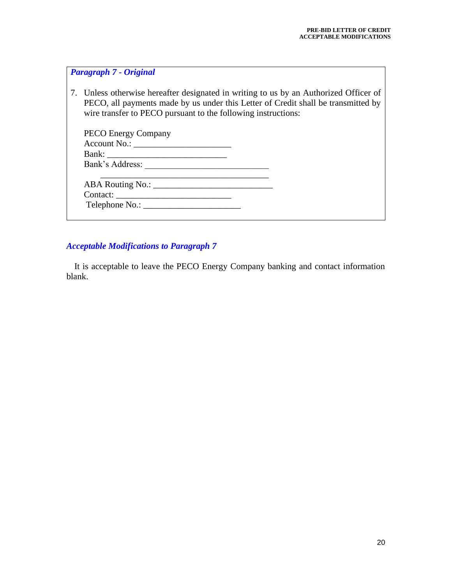# *Paragraph 7 - Original*

7. Unless otherwise hereafter designated in writing to us by an Authorized Officer of PECO, all payments made by us under this Letter of Credit shall be transmitted by wire transfer to PECO pursuant to the following instructions:

| <b>PECO Energy Company</b> |  |  |
|----------------------------|--|--|
|                            |  |  |
|                            |  |  |
| Bank's Address:            |  |  |
|                            |  |  |
|                            |  |  |
|                            |  |  |
|                            |  |  |

# *Acceptable Modifications to Paragraph 7*

It is acceptable to leave the PECO Energy Company banking and contact information blank.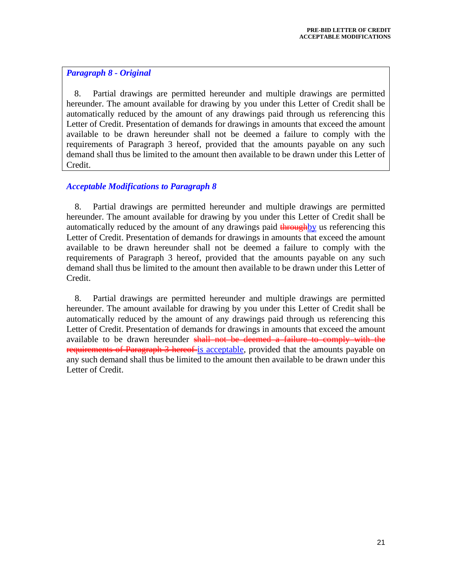# *Paragraph 8 - Original*

8. Partial drawings are permitted hereunder and multiple drawings are permitted hereunder. The amount available for drawing by you under this Letter of Credit shall be automatically reduced by the amount of any drawings paid through us referencing this Letter of Credit. Presentation of demands for drawings in amounts that exceed the amount available to be drawn hereunder shall not be deemed a failure to comply with the requirements of Paragraph 3 hereof, provided that the amounts payable on any such demand shall thus be limited to the amount then available to be drawn under this Letter of Credit.

# *Acceptable Modifications to Paragraph 8*

8. Partial drawings are permitted hereunder and multiple drawings are permitted hereunder. The amount available for drawing by you under this Letter of Credit shall be automatically reduced by the amount of any drawings paid  $\frac{1}{2}$  through the referencing this Letter of Credit. Presentation of demands for drawings in amounts that exceed the amount available to be drawn hereunder shall not be deemed a failure to comply with the requirements of Paragraph 3 hereof, provided that the amounts payable on any such demand shall thus be limited to the amount then available to be drawn under this Letter of Credit.

8. Partial drawings are permitted hereunder and multiple drawings are permitted hereunder. The amount available for drawing by you under this Letter of Credit shall be automatically reduced by the amount of any drawings paid through us referencing this Letter of Credit. Presentation of demands for drawings in amounts that exceed the amount available to be drawn hereunder shall not be deemed a failure to comply with the requirements of Paragraph 3 hereof-is acceptable, provided that the amounts payable on any such demand shall thus be limited to the amount then available to be drawn under this Letter of Credit.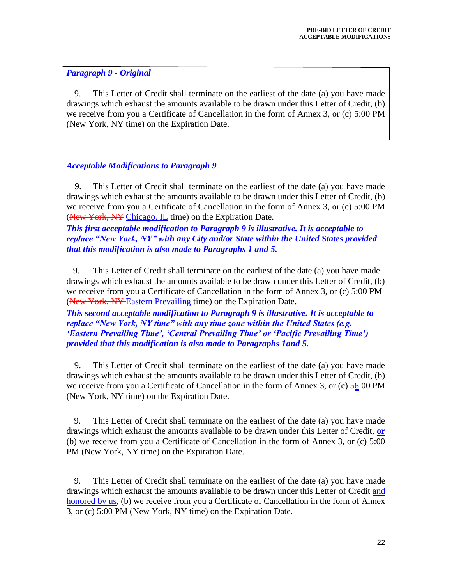# *Paragraph 9 - Original*

9. This Letter of Credit shall terminate on the earliest of the date (a) you have made drawings which exhaust the amounts available to be drawn under this Letter of Credit, (b) we receive from you a Certificate of Cancellation in the form of Annex 3, or (c) 5:00 PM (New York, NY time) on the Expiration Date.

# *Acceptable Modifications to Paragraph 9*

9. This Letter of Credit shall terminate on the earliest of the date (a) you have made drawings which exhaust the amounts available to be drawn under this Letter of Credit, (b) we receive from you a Certificate of Cancellation in the form of Annex 3, or (c) 5:00 PM (New York, NY Chicago, IL time) on the Expiration Date.

*This first acceptable modification to Paragraph 9 is illustrative. It is acceptable to replace "New York, NY" with any City and/or State within the United States provided that this modification is also made to Paragraphs 1 and 5.* 

 9. This Letter of Credit shall terminate on the earliest of the date (a) you have made drawings which exhaust the amounts available to be drawn under this Letter of Credit, (b) we receive from you a Certificate of Cancellation in the form of Annex 3, or (c) 5:00 PM (New York, NY-Eastern Prevailing time) on the Expiration Date.

*This second acceptable modification to Paragraph 9 is illustrative. It is acceptable to replace "New York, NY time" with any time zone within the United States (e.g. 'Eastern Prevailing Time', 'Central Prevailing Time' or 'Pacific Prevailing Time') provided that this modification is also made to Paragraphs 1and 5.* 

9. This Letter of Credit shall terminate on the earliest of the date (a) you have made drawings which exhaust the amounts available to be drawn under this Letter of Credit, (b) we receive from you a Certificate of Cancellation in the form of Annex 3, or (c)  $\frac{56:00 \text{ PM}}{2}$ (New York, NY time) on the Expiration Date.

9. This Letter of Credit shall terminate on the earliest of the date (a) you have made drawings which exhaust the amounts available to be drawn under this Letter of Credit, **or** (b) we receive from you a Certificate of Cancellation in the form of Annex 3, or (c) 5:00 PM (New York, NY time) on the Expiration Date.

9. This Letter of Credit shall terminate on the earliest of the date (a) you have made drawings which exhaust the amounts available to be drawn under this Letter of Credit and honored by us, (b) we receive from you a Certificate of Cancellation in the form of Annex 3, or (c) 5:00 PM (New York, NY time) on the Expiration Date.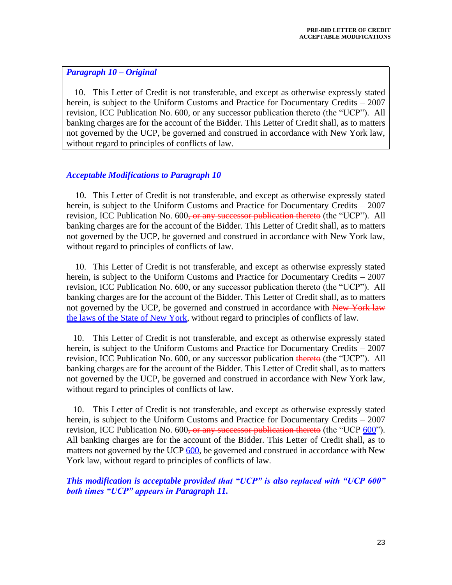#### *Paragraph 10 – Original*

10. This Letter of Credit is not transferable, and except as otherwise expressly stated herein, is subject to the Uniform Customs and Practice for Documentary Credits – 2007 revision, ICC Publication No. 600, or any successor publication thereto (the "UCP"). All banking charges are for the account of the Bidder. This Letter of Credit shall, as to matters not governed by the UCP, be governed and construed in accordance with New York law, without regard to principles of conflicts of law.

#### *Acceptable Modifications to Paragraph 10*

10. This Letter of Credit is not transferable, and except as otherwise expressly stated herein, is subject to the Uniform Customs and Practice for Documentary Credits – 2007 revision, ICC Publication No. 600<del>, or any successor publication thereto</del> (the "UCP"). All banking charges are for the account of the Bidder. This Letter of Credit shall, as to matters not governed by the UCP, be governed and construed in accordance with New York law, without regard to principles of conflicts of law.

 10. This Letter of Credit is not transferable, and except as otherwise expressly stated herein, is subject to the Uniform Customs and Practice for Documentary Credits – 2007 revision, ICC Publication No. 600, or any successor publication thereto (the "UCP"). All banking charges are for the account of the Bidder. This Letter of Credit shall, as to matters not governed by the UCP, be governed and construed in accordance with New York law the laws of the State of New York, without regard to principles of conflicts of law.

 10. This Letter of Credit is not transferable, and except as otherwise expressly stated herein, is subject to the Uniform Customs and Practice for Documentary Credits – 2007 revision, ICC Publication No. 600, or any successor publication thereto (the "UCP"). All banking charges are for the account of the Bidder. This Letter of Credit shall, as to matters not governed by the UCP, be governed and construed in accordance with New York law, without regard to principles of conflicts of law.

 10. This Letter of Credit is not transferable, and except as otherwise expressly stated herein, is subject to the Uniform Customs and Practice for Documentary Credits – 2007 revision, ICC Publication No.  $600$ , or any successor publication thereto (the "UCP  $600$ "). All banking charges are for the account of the Bidder. This Letter of Credit shall, as to matters not governed by the UCP 600, be governed and construed in accordance with New York law, without regard to principles of conflicts of law.

*This modification is acceptable provided that "UCP" is also replaced with "UCP 600" both times "UCP" appears in Paragraph 11.*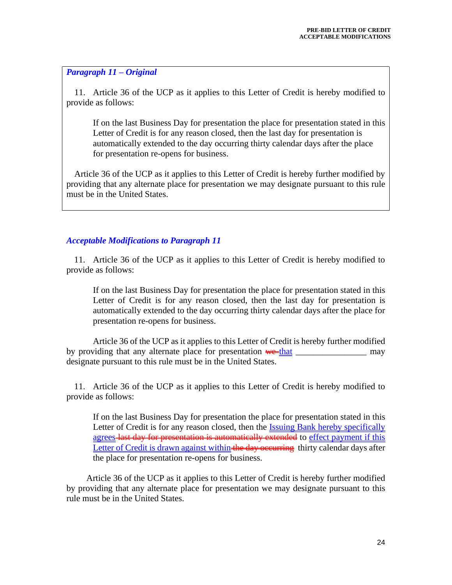#### *Paragraph 11 – Original*

11. Article 36 of the UCP as it applies to this Letter of Credit is hereby modified to provide as follows:

If on the last Business Day for presentation the place for presentation stated in this Letter of Credit is for any reason closed, then the last day for presentation is automatically extended to the day occurring thirty calendar days after the place for presentation re-opens for business.

Article 36 of the UCP as it applies to this Letter of Credit is hereby further modified by providing that any alternate place for presentation we may designate pursuant to this rule must be in the United States.

# *Acceptable Modifications to Paragraph 11*

11. Article 36 of the UCP as it applies to this Letter of Credit is hereby modified to provide as follows:

If on the last Business Day for presentation the place for presentation stated in this Letter of Credit is for any reason closed, then the last day for presentation is automatically extended to the day occurring thirty calendar days after the place for presentation re-opens for business.

Article 36 of the UCP as it applies to this Letter of Credit is hereby further modified by providing that any alternate place for presentation we that may may designate pursuant to this rule must be in the United States.

11. Article 36 of the UCP as it applies to this Letter of Credit is hereby modified to provide as follows:

If on the last Business Day for presentation the place for presentation stated in this Letter of Credit is for any reason closed, then the Issuing Bank hereby specifically agrees last day for presentation is automatically extended to effect payment if this Letter of Credit is drawn against within the day occurring thirty calendar days after the place for presentation re-opens for business.

Article 36 of the UCP as it applies to this Letter of Credit is hereby further modified by providing that any alternate place for presentation we may designate pursuant to this rule must be in the United States.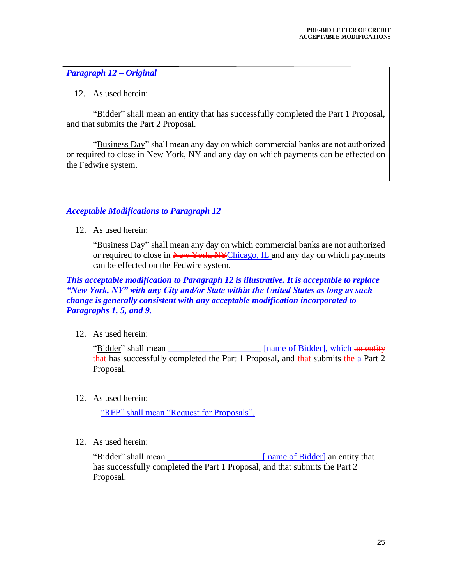# *Paragraph 12 – Original*

12. As used herein:

"Bidder" shall mean an entity that has successfully completed the Part 1 Proposal, and that submits the Part 2 Proposal.

"Business Day" shall mean any day on which commercial banks are not authorized or required to close in New York, NY and any day on which payments can be effected on the Fedwire system.

#### *Acceptable Modifications to Paragraph 12*

12. As used herein:

"Business Day" shall mean any day on which commercial banks are not authorized or required to close in New York, NYChicago, IL and any day on which payments can be effected on the Fedwire system.

*This acceptable modification to Paragraph 12 is illustrative. It is acceptable to replace "New York, NY" with any City and/or State within the United States as long as such change is generally consistent with any acceptable modification incorporated to Paragraphs 1, 5, and 9.*

12. As used herein:

"Bidder" shall mean **Example 2** [name of Bidder], which an entity which an entity and the same of Bidder]. that has successfully completed the Part 1 Proposal, and  $\frac{1}{\sqrt{1 + \frac{1}{n}} \cdot \frac{1}{n}}$  a Part 2 Proposal.

12. As used herein:

"RFP" shall mean "Request for Proposals".

12. As used herein:

"Bidder" shall mean **Figure 1** [ name of Bidder] an entity that has successfully completed the Part 1 Proposal, and that submits the Part 2 Proposal.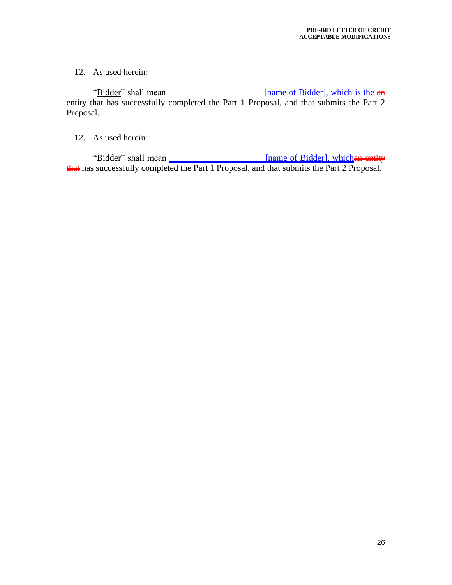12. As used herein:

"Bidder" shall mean \_\_\_\_\_\_\_\_\_\_\_\_\_\_\_\_\_\_\_\_\_\_\_ [name of Bidder], which is the  $\theta$ entity that has successfully completed the Part 1 Proposal, and that submits the Part 2 Proposal.

12. As used herein:

"Bidder" shall mean \_\_\_\_\_\_\_\_\_\_\_\_\_\_\_\_\_\_\_\_\_\_\_ [name of Bidder], which an entity that has successfully completed the Part 1 Proposal, and that submits the Part 2 Proposal.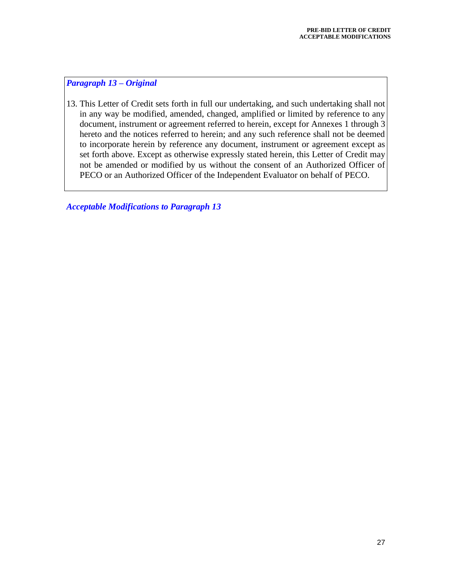# *Paragraph 13 – Original*

13. This Letter of Credit sets forth in full our undertaking, and such undertaking shall not in any way be modified, amended, changed, amplified or limited by reference to any document, instrument or agreement referred to herein, except for Annexes 1 through 3 hereto and the notices referred to herein; and any such reference shall not be deemed to incorporate herein by reference any document, instrument or agreement except as set forth above. Except as otherwise expressly stated herein, this Letter of Credit may not be amended or modified by us without the consent of an Authorized Officer of PECO or an Authorized Officer of the Independent Evaluator on behalf of PECO.

*Acceptable Modifications to Paragraph 13*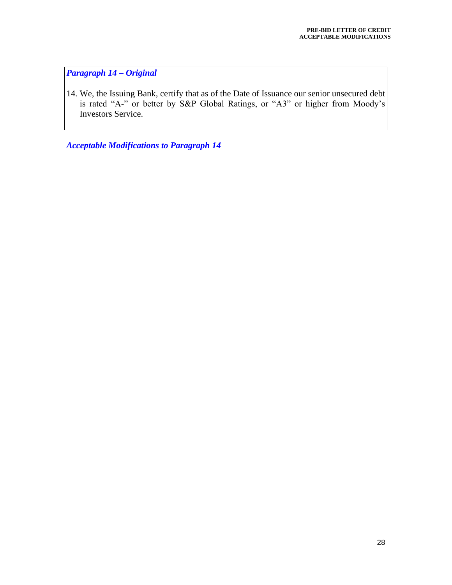*Paragraph 14 – Original*

14. We, the Issuing Bank, certify that as of the Date of Issuance our senior unsecured debt is rated "A-" or better by S&P Global Ratings, or "A3" or higher from Moody's Investors Service.

*Acceptable Modifications to Paragraph 14*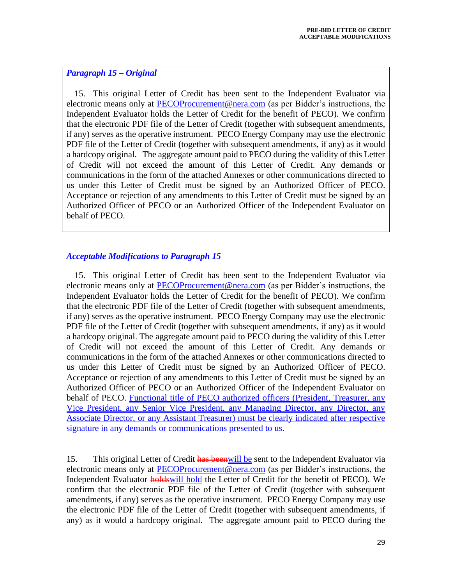## *Paragraph 15 – Original*

15. This original Letter of Credit has been sent to the Independent Evaluator via electronic means only at [PECOProcurement@nera.com](mailto:PECOProcurement@nera.com) (as per Bidder's instructions, the Independent Evaluator holds the Letter of Credit for the benefit of PECO). We confirm that the electronic PDF file of the Letter of Credit (together with subsequent amendments, if any) serves as the operative instrument. PECO Energy Company may use the electronic PDF file of the Letter of Credit (together with subsequent amendments, if any) as it would a hardcopy original. The aggregate amount paid to PECO during the validity of this Letter of Credit will not exceed the amount of this Letter of Credit. Any demands or communications in the form of the attached Annexes or other communications directed to us under this Letter of Credit must be signed by an Authorized Officer of PECO. Acceptance or rejection of any amendments to this Letter of Credit must be signed by an Authorized Officer of PECO or an Authorized Officer of the Independent Evaluator on behalf of PECO.

# *Acceptable Modifications to Paragraph 15*

15. This original Letter of Credit has been sent to the Independent Evaluator via electronic means only at [PECOProcurement@nera.com](mailto:PECOProcurement@nera.com) (as per Bidder's instructions, the Independent Evaluator holds the Letter of Credit for the benefit of PECO). We confirm that the electronic PDF file of the Letter of Credit (together with subsequent amendments, if any) serves as the operative instrument. PECO Energy Company may use the electronic PDF file of the Letter of Credit (together with subsequent amendments, if any) as it would a hardcopy original. The aggregate amount paid to PECO during the validity of this Letter of Credit will not exceed the amount of this Letter of Credit. Any demands or communications in the form of the attached Annexes or other communications directed to us under this Letter of Credit must be signed by an Authorized Officer of PECO. Acceptance or rejection of any amendments to this Letter of Credit must be signed by an Authorized Officer of PECO or an Authorized Officer of the Independent Evaluator on behalf of PECO. Functional title of PECO authorized officers (President, Treasurer, any Vice President, any Senior Vice President, any Managing Director, any Director, any Associate Director, or any Assistant Treasurer) must be clearly indicated after respective signature in any demands or communications presented to us.

15. This original Letter of Credit **has been** will be sent to the Independent Evaluator via electronic means only at [PECOProcurement@nera.com](mailto:PECOProcurement@nera.com) (as per Bidder's instructions, the Independent Evaluator **holdswill** hold the Letter of Credit for the benefit of PECO). We confirm that the electronic PDF file of the Letter of Credit (together with subsequent amendments, if any) serves as the operative instrument. PECO Energy Company may use the electronic PDF file of the Letter of Credit (together with subsequent amendments, if any) as it would a hardcopy original. The aggregate amount paid to PECO during the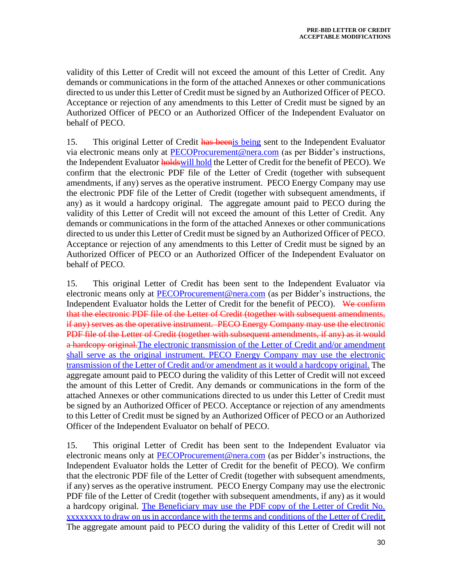validity of this Letter of Credit will not exceed the amount of this Letter of Credit. Any demands or communications in the form of the attached Annexes or other communications directed to us under this Letter of Credit must be signed by an Authorized Officer of PECO. Acceptance or rejection of any amendments to this Letter of Credit must be signed by an Authorized Officer of PECO or an Authorized Officer of the Independent Evaluator on behalf of PECO.

15. This original Letter of Credit has been is being sent to the Independent Evaluator via electronic means only at [PECOProcurement@nera.com](mailto:PECOProcurement@nera.com) (as per Bidder's instructions, the Independent Evaluator **holds** will hold the Letter of Credit for the benefit of PECO). We confirm that the electronic PDF file of the Letter of Credit (together with subsequent amendments, if any) serves as the operative instrument. PECO Energy Company may use the electronic PDF file of the Letter of Credit (together with subsequent amendments, if any) as it would a hardcopy original. The aggregate amount paid to PECO during the validity of this Letter of Credit will not exceed the amount of this Letter of Credit. Any demands or communications in the form of the attached Annexes or other communications directed to us under this Letter of Credit must be signed by an Authorized Officer of PECO. Acceptance or rejection of any amendments to this Letter of Credit must be signed by an Authorized Officer of PECO or an Authorized Officer of the Independent Evaluator on behalf of PECO.

15. This original Letter of Credit has been sent to the Independent Evaluator via electronic means only at [PECOProcurement@nera.com](mailto:PECOProcurement@nera.com) (as per Bidder's instructions, the Independent Evaluator holds the Letter of Credit for the benefit of PECO). We confirm that the electronic PDF file of the Letter of Credit (together with subsequent amendments, if any) serves as the operative instrument. PECO Energy Company may use the electronic PDF file of the Letter of Credit (together with subsequent amendments, if any) as it would a hardcopy original. The electronic transmission of the Letter of Credit and/or amendment shall serve as the original instrument. PECO Energy Company may use the electronic transmission of the Letter of Credit and/or amendment as it would a hardcopy original. The aggregate amount paid to PECO during the validity of this Letter of Credit will not exceed the amount of this Letter of Credit. Any demands or communications in the form of the attached Annexes or other communications directed to us under this Letter of Credit must be signed by an Authorized Officer of PECO. Acceptance or rejection of any amendments to this Letter of Credit must be signed by an Authorized Officer of PECO or an Authorized Officer of the Independent Evaluator on behalf of PECO.

15. This original Letter of Credit has been sent to the Independent Evaluator via electronic means only at [PECOProcurement@nera.com](mailto:PECOProcurement@nera.com) (as per Bidder's instructions, the Independent Evaluator holds the Letter of Credit for the benefit of PECO). We confirm that the electronic PDF file of the Letter of Credit (together with subsequent amendments, if any) serves as the operative instrument. PECO Energy Company may use the electronic PDF file of the Letter of Credit (together with subsequent amendments, if any) as it would a hardcopy original. The Beneficiary may use the PDF copy of the Letter of Credit No. xxxxxxxx to draw on us in accordance with the terms and conditions of the Letter of Credit. The aggregate amount paid to PECO during the validity of this Letter of Credit will not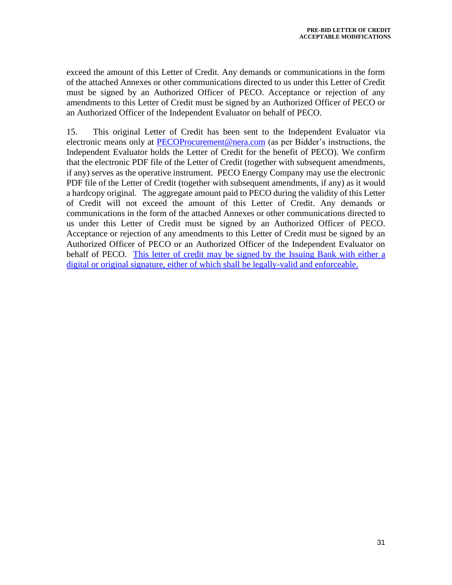exceed the amount of this Letter of Credit. Any demands or communications in the form of the attached Annexes or other communications directed to us under this Letter of Credit must be signed by an Authorized Officer of PECO. Acceptance or rejection of any amendments to this Letter of Credit must be signed by an Authorized Officer of PECO or an Authorized Officer of the Independent Evaluator on behalf of PECO.

15. This original Letter of Credit has been sent to the Independent Evaluator via electronic means only at [PECOProcurement@nera.com](mailto:PECOProcurement@nera.com) (as per Bidder's instructions, the Independent Evaluator holds the Letter of Credit for the benefit of PECO). We confirm that the electronic PDF file of the Letter of Credit (together with subsequent amendments, if any) serves as the operative instrument. PECO Energy Company may use the electronic PDF file of the Letter of Credit (together with subsequent amendments, if any) as it would a hardcopy original. The aggregate amount paid to PECO during the validity of this Letter of Credit will not exceed the amount of this Letter of Credit. Any demands or communications in the form of the attached Annexes or other communications directed to us under this Letter of Credit must be signed by an Authorized Officer of PECO. Acceptance or rejection of any amendments to this Letter of Credit must be signed by an Authorized Officer of PECO or an Authorized Officer of the Independent Evaluator on behalf of PECO. This letter of credit may be signed by the Issuing Bank with either a digital or original signature, either of which shall be legally-valid and enforceable.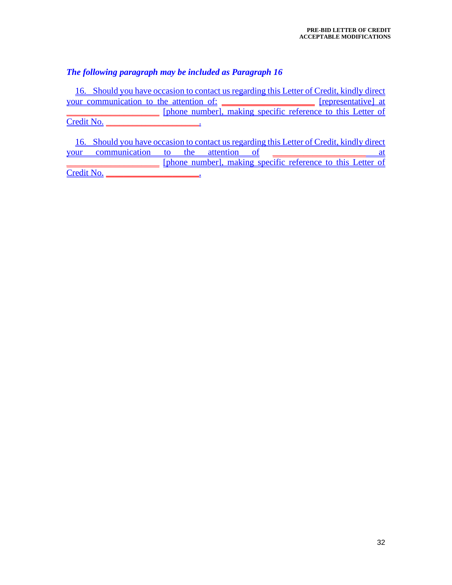# *The following paragraph may be included as Paragraph 16*

16. Should you have occasion to contact us regarding this Letter of Credit, kindly direct your communication to the attention of: \_\_\_\_\_\_\_\_\_\_\_\_\_\_\_\_\_\_\_\_\_\_ [representative] at [phone number], making specific reference to this Letter of Credit No.

16. Should you have occasion to contact us regarding this Letter of Credit, kindly direct your communication to the attention of \_\_\_\_\_\_\_\_\_\_\_\_\_\_\_\_\_\_\_\_\_ at [phone number], making specific reference to this Letter of Credit No. \_\_\_\_\_\_\_\_\_\_\_\_\_\_\_\_\_\_\_\_\_.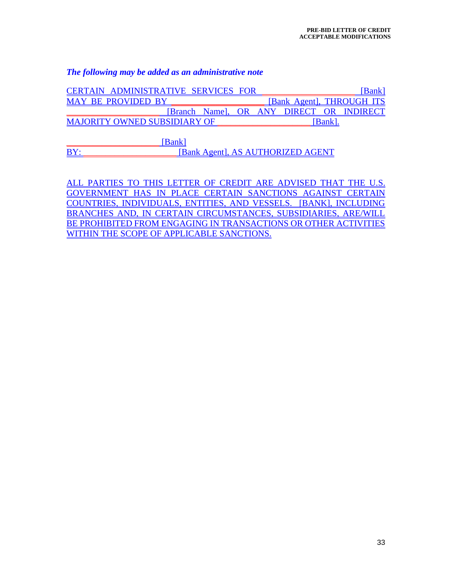#### *The following may be added as an administrative note*

| CERTAIN ADMINISTRATIVE SERVICES FOR      |  |                | Bank                      |
|------------------------------------------|--|----------------|---------------------------|
| <b>MAY BE PROVIDED BY</b>                |  |                | [Bank Agent], THROUGH ITS |
| [Branch Name], OR ANY DIRECT OR INDIRECT |  |                |                           |
| <b>MAJORITY OWNED SUBSIDIARY OF</b>      |  | <b>IBankl.</b> |                           |

[Bank] BY: BETRIEF EXECUTE: [Bank Agent], AS AUTHORIZED AGENT

ALL PARTIES TO THIS LETTER OF CREDIT ARE ADVISED THAT THE U.S. GOVERNMENT HAS IN PLACE CERTAIN SANCTIONS AGAINST CERTAIN COUNTRIES, INDIVIDUALS, ENTITIES, AND VESSELS. [BANK], INCLUDING BRANCHES AND, IN CERTAIN CIRCUMSTANCES, SUBSIDIARIES, ARE/WILL BE PROHIBITED FROM ENGAGING IN TRANSACTIONS OR OTHER ACTIVITIES WITHIN THE SCOPE OF APPLICABLE SANCTIONS.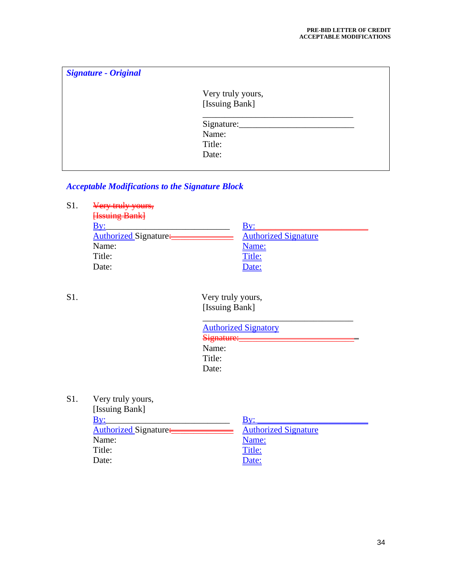| <b>Signature - Original</b> |                   |
|-----------------------------|-------------------|
|                             | Very truly yours, |
|                             | [Issuing Bank]    |
|                             | Signature:        |
|                             | Name:             |
|                             | Title:            |
|                             | Date:             |
|                             |                   |

# *Acceptable Modifications to the Signature Block*

S1. <del>Very truly yours,</del>

| <b>Hasuing Bank</b>   |                             |
|-----------------------|-----------------------------|
|                       |                             |
| Authorized Signature. | <b>Authorized Signature</b> |
| Name:                 | <u>Name:</u>                |
| Title:                | <u>Title:</u>               |
| Date:                 | Date:                       |

S1. Very truly yours, [Issuing Bank]

| <b>Authorized Signatory</b> |  |
|-----------------------------|--|
| Signature:                  |  |
| Name:                       |  |
| Title:                      |  |
| Date:                       |  |

S1. Very truly yours,

| [Issuing Bank]        |                             |
|-----------------------|-----------------------------|
|                       | Bv:                         |
| Authorized Signature: | <b>Authorized Signature</b> |
| Name:                 | <u>Name:</u>                |
| Title:                | <u>Title:</u>               |
| Date:                 | Date:                       |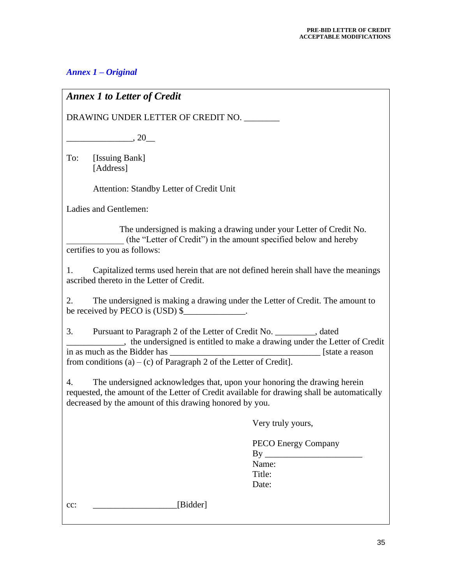# *Annex 1 – Original*

# *Annex 1 to Letter of Credit* DRAWING UNDER LETTER OF CREDIT NO. \_\_\_\_\_\_\_\_  $\,$ , 20 To: [Issuing Bank] [Address] Attention: Standby Letter of Credit Unit Ladies and Gentlemen: The undersigned is making a drawing under your Letter of Credit No. \_\_\_\_\_\_\_\_\_\_\_\_\_ (the "Letter of Credit") in the amount specified below and hereby certifies to you as follows: 1. Capitalized terms used herein that are not defined herein shall have the meanings ascribed thereto in the Letter of Credit. 2. The undersigned is making a drawing under the Letter of Credit. The amount to be received by PECO is (USD) \$ 3. Pursuant to Paragraph 2 of the Letter of Credit No. \_\_\_\_\_\_\_\_\_, dated \_\_\_\_\_\_\_\_\_\_\_\_\_, the undersigned is entitled to make a drawing under the Letter of Credit in as much as the Bidder has **interval** and the set of the set of the set of the set of the set of the set of the set of the set of the set of the set of the set of the set of the set of the set of the set of the set of th from conditions  $(a) - (c)$  of Paragraph 2 of the Letter of Credit]. 4. The undersigned acknowledges that, upon your honoring the drawing herein requested, the amount of the Letter of Credit available for drawing shall be automatically decreased by the amount of this drawing honored by you. Very truly yours, PECO Energy Company  $Bv$ Name: Title: Date: cc: [Bidder]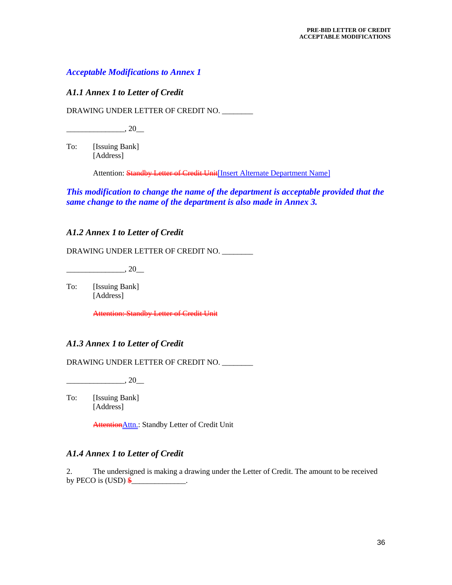#### *Acceptable Modifications to Annex 1*

#### *A1.1 Annex 1 to Letter of Credit*

DRAWING UNDER LETTER OF CREDIT NO. \_\_\_\_\_\_\_\_

 $\frac{1}{20}$ , 20

To: [Issuing Bank] [Address]

Attention: Standby Letter of Credit Unit[Insert Alternate Department Name]

*This modification to change the name of the department is acceptable provided that the same change to the name of the department is also made in Annex 3.*

#### *A1.2 Annex 1 to Letter of Credit*

DRAWING UNDER LETTER OF CREDIT NO. \_\_\_\_\_\_\_\_

 $, 20$ 

To: [Issuing Bank] [Address]

Attention: Standby Letter of Credit Unit

#### *A1.3 Annex 1 to Letter of Credit*

DRAWING UNDER LETTER OF CREDIT NO. \_\_\_\_\_\_\_\_

 $\frac{1}{20}$ , 20

To: [Issuing Bank] [Address]

Attention Attn.: Standby Letter of Credit Unit

#### *A1.4 Annex 1 to Letter of Credit*

2. The undersigned is making a drawing under the Letter of Credit. The amount to be received by PECO is  $(USD) \$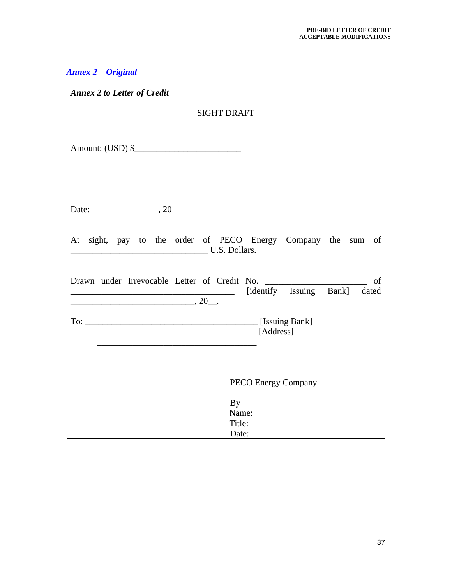# *Annex 2 – Original*

| <b>Annex 2 to Letter of Credit</b>                                            |
|-------------------------------------------------------------------------------|
| <b>SIGHT DRAFT</b>                                                            |
| Amount: $(USD)$ \$                                                            |
|                                                                               |
| At sight, pay to the order of PECO Energy Company the sum of<br>U.S. Dollars. |
| of<br>[identify Issuing Bank] dated<br>$\begin{array}{c} \hline \end{array}$  |
|                                                                               |
| <b>PECO Energy Company</b>                                                    |
| Name:<br>Title:<br>Date:                                                      |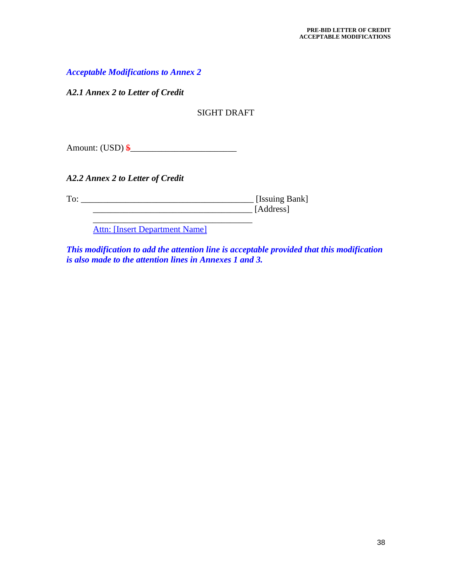*Acceptable Modifications to Annex 2*

*A2.1 Annex 2 to Letter of Credit*

SIGHT DRAFT

Amount: (USD) \$\_\_\_\_\_\_\_\_\_\_\_\_\_\_\_\_\_\_\_\_\_\_\_\_

*A2.2 Annex 2 to Letter of Credit*

To: \_\_\_\_\_\_\_\_\_\_\_\_\_\_\_\_\_\_\_\_\_\_\_\_\_\_\_\_\_\_\_\_\_\_\_\_\_\_\_ [Issuing Bank] \_\_\_\_\_\_\_\_\_\_\_\_\_\_\_\_\_\_\_\_\_\_\_\_\_\_\_\_\_\_\_\_\_\_\_\_ [Address]

> \_\_\_\_\_\_\_\_\_\_\_\_\_\_\_\_\_\_\_\_\_\_\_\_\_\_\_\_\_\_\_\_\_\_\_\_ Attn: [Insert Department Name]

*This modification to add the attention line is acceptable provided that this modification is also made to the attention lines in Annexes 1 and 3.*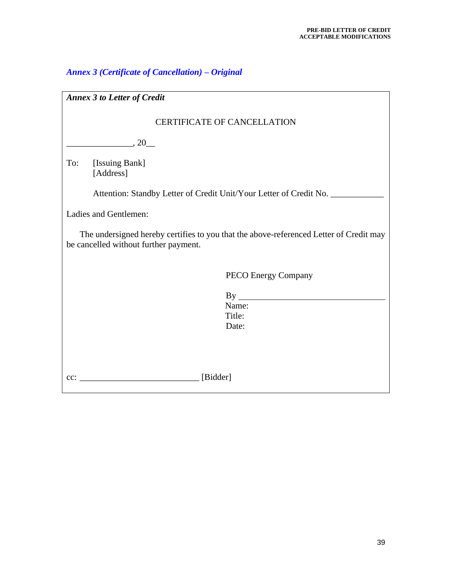# *Annex 3 (Certificate of Cancellation) – Original*

| <b>Annex 3 to Letter of Credit</b>                                                                                              |  |  |  |  |
|---------------------------------------------------------------------------------------------------------------------------------|--|--|--|--|
| <b>CERTIFICATE OF CANCELLATION</b>                                                                                              |  |  |  |  |
| $\sim$ 20                                                                                                                       |  |  |  |  |
| To:<br>[Issuing Bank]<br>[Address]                                                                                              |  |  |  |  |
| Attention: Standby Letter of Credit Unit/Your Letter of Credit No. _____________                                                |  |  |  |  |
| Ladies and Gentlemen:                                                                                                           |  |  |  |  |
| The undersigned hereby certifies to you that the above-referenced Letter of Credit may<br>be cancelled without further payment. |  |  |  |  |
| PECO Energy Company                                                                                                             |  |  |  |  |
|                                                                                                                                 |  |  |  |  |
| Name:<br>Title:                                                                                                                 |  |  |  |  |
| Date:                                                                                                                           |  |  |  |  |
|                                                                                                                                 |  |  |  |  |
|                                                                                                                                 |  |  |  |  |
| [Bidder]<br>$cc$ :                                                                                                              |  |  |  |  |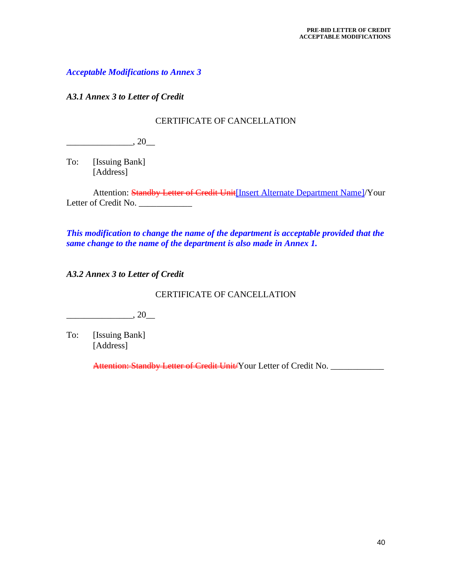*Acceptable Modifications to Annex 3* 

*A3.1 Annex 3 to Letter of Credit*

#### CERTIFICATE OF CANCELLATION

 $\frac{1}{20}$ , 20

To: [Issuing Bank] [Address]

Attention: Standby Letter of Credit Unit [Insert Alternate Department Name]/Your Letter of Credit No. \_\_\_\_\_\_\_\_\_\_\_\_

*This modification to change the name of the department is acceptable provided that the same change to the name of the department is also made in Annex 1.*

*A3.2 Annex 3 to Letter of Credit*

#### CERTIFICATE OF CANCELLATION

 $\frac{1}{20}$ , 20

To: [Issuing Bank] [Address]

Attention: Standby Letter of Credit Unit/Your Letter of Credit No. \_\_\_\_\_\_\_\_\_\_\_\_\_